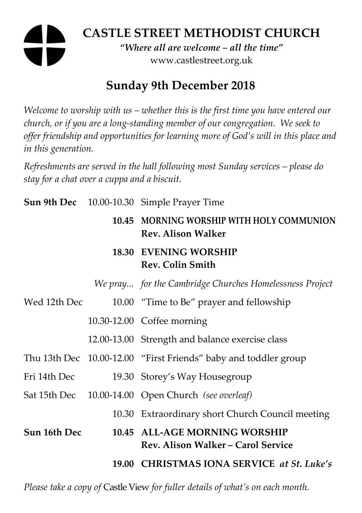# **CASTLE STREET METHODIST CHURCH**

*"Where all are welcome – all the time"*  www.castlestreet.org.uk

## **Sunday 9th December 2018**

*Welcome to worship with us – whether this is the first time you have entered our church, or if you are a long-standing member of our congregation. We seek to offer friendship and opportunities for learning more of God's will in this place and in this generation.* 

*Refreshments are served in the hall following most Sunday services – please do stay for a chat over a cuppa and a biscuit.* 

|              | <b>Sun 9th Dec</b> 10.00-10.30 Simple Prayer Time                          |
|--------------|----------------------------------------------------------------------------|
|              | 10.45 MORNING WORSHIP WITH HOLY COMMUNION<br><b>Rev. Alison Walker</b>     |
|              | <b>18.30 EVENING WORSHIP</b><br><b>Rev. Colin Smith</b>                    |
|              | We pray for the Cambridge Churches Homelessness Project                    |
| Wed 12th Dec | 10.00 "Time to Be" prayer and fellowship                                   |
|              | 10.30-12.00 Coffee morning                                                 |
|              | 12.00-13.00 Strength and balance exercise class                            |
|              | Thu 13th Dec 10.00-12.00 "First Friends" baby and toddler group            |
| Fri 14th Dec | 19.30 Storey's Way Housegroup                                              |
|              | Sat 15th Dec 10.00-14.00 Open Church (see overleaf)                        |
|              | 10.30 Extraordinary short Church Council meeting                           |
| Sun 16th Dec | 10.45 ALL-AGE MORNING WORSHIP<br><b>Rev. Alison Walker - Carol Service</b> |
|              | 19.00 CHRISTMAS IONA SERVICE at St. Luke's                                 |

*Please take a copy of* Castle View *for fuller details of what's on each month.*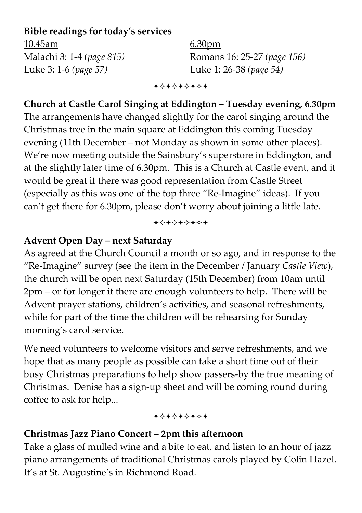#### **Bible readings for today's services**

10.45am 6.30pm Luke 3: 1-6 *(page 57)* Luke 1: 26-38 *(page 54)* 

Malachi 3: 1-4 *(page 815)* Romans 16: 25-27 *(page 156)*

+\*\*\*\*\*\*\*

**Church at Castle Carol Singing at Eddington – Tuesday evening, 6.30pm**  The arrangements have changed slightly for the carol singing around the Christmas tree in the main square at Eddington this coming Tuesday evening (11th December – not Monday as shown in some other places). We're now meeting outside the Sainsbury's superstore in Eddington, and at the slightly later time of 6.30pm. This is a Church at Castle event, and it would be great if there was good representation from Castle Street (especially as this was one of the top three "Re-Imagine" ideas). If you can't get there for 6.30pm, please don't worry about joining a little late.

+\*\*\*\*\*\*\*

#### **Advent Open Day – next Saturday**

As agreed at the Church Council a month or so ago, and in response to the "Re-Imagine" survey (see the item in the December / January *Castle View*), the church will be open next Saturday (15th December) from 10am until 2pm – or for longer if there are enough volunteers to help. There will be Advent prayer stations, children's activities, and seasonal refreshments, while for part of the time the children will be rehearsing for Sunday morning's carol service.

We need volunteers to welcome visitors and serve refreshments, and we hope that as many people as possible can take a short time out of their busy Christmas preparations to help show passers-by the true meaning of Christmas. Denise has a sign-up sheet and will be coming round during coffee to ask for help...

#### +\*\*\*\*\*\*\*

#### **Christmas Jazz Piano Concert – 2pm this afternoon**

Take a glass of mulled wine and a bite to eat, and listen to an hour of jazz piano arrangements of traditional Christmas carols played by Colin Hazel. It's at St. Augustine's in Richmond Road.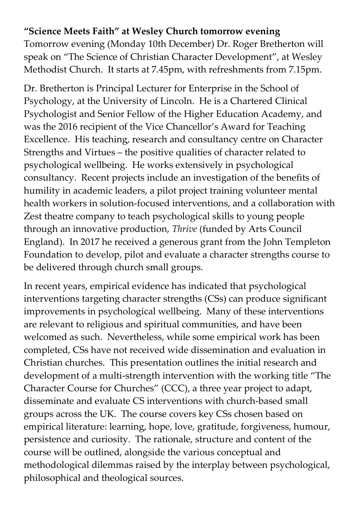#### **"Science Meets Faith" at Wesley Church tomorrow evening**

Tomorrow evening (Monday 10th December) Dr. Roger Bretherton will speak on "The Science of Christian Character Development", at Wesley Methodist Church. It starts at 7.45pm, with refreshments from 7.15pm.

Dr. Bretherton is Principal Lecturer for Enterprise in the School of Psychology, at the University of Lincoln. He is a Chartered Clinical Psychologist and Senior Fellow of the Higher Education Academy, and was the 2016 recipient of the Vice Chancellor's Award for Teaching Excellence. His teaching, research and consultancy centre on Character Strengths and Virtues – the positive qualities of character related to psychological wellbeing. He works extensively in psychological consultancy. Recent projects include an investigation of the benefits of humility in academic leaders, a pilot project training volunteer mental health workers in solution-focused interventions, and a collaboration with Zest theatre company to teach psychological skills to young people through an innovative production, *Thrive* (funded by Arts Council England). In 2017 he received a generous grant from the John Templeton Foundation to develop, pilot and evaluate a character strengths course to be delivered through church small groups.

In recent years, empirical evidence has indicated that psychological interventions targeting character strengths (CSs) can produce significant improvements in psychological wellbeing. Many of these interventions are relevant to religious and spiritual communities, and have been welcomed as such. Nevertheless, while some empirical work has been completed, CSs have not received wide dissemination and evaluation in Christian churches. This presentation outlines the initial research and development of a multi-strength intervention with the working title "The Character Course for Churches" (CCC), a three year project to adapt, disseminate and evaluate CS interventions with church-based small groups across the UK. The course covers key CSs chosen based on empirical literature: learning, hope, love, gratitude, forgiveness, humour, persistence and curiosity. The rationale, structure and content of the course will be outlined, alongside the various conceptual and methodological dilemmas raised by the interplay between psychological, philosophical and theological sources.